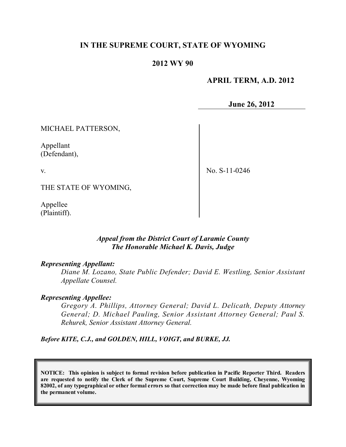# **IN THE SUPREME COURT, STATE OF WYOMING**

## **2012 WY 90**

## **APRIL TERM, A.D. 2012**

**June 26, 2012**

MICHAEL PATTERSON,

Appellant (Defendant),

v.

No. S-11-0246

THE STATE OF WYOMING,

Appellee (Plaintiff).

## *Appeal from the District Court of Laramie County The Honorable Michael K. Davis, Judge*

#### *Representing Appellant:*

*Diane M. Lozano, State Public Defender; David E. Westling, Senior Assistant Appellate Counsel.*

#### *Representing Appellee:*

*Gregory A. Phillips, Attorney General; David L. Delicath, Deputy Attorney General; D. Michael Pauling, Senior Assistant Attorney General; Paul S. Rehurek, Senior Assistant Attorney General.*

*Before KITE, C.J., and GOLDEN, HILL, VOIGT, and BURKE, JJ.*

**NOTICE: This opinion is subject to formal revision before publication in Pacific Reporter Third. Readers are requested to notify the Clerk of the Supreme Court, Supreme Court Building, Cheyenne, Wyoming** 82002, of any typographical or other formal errors so that correction may be made before final publication in **the permanent volume.**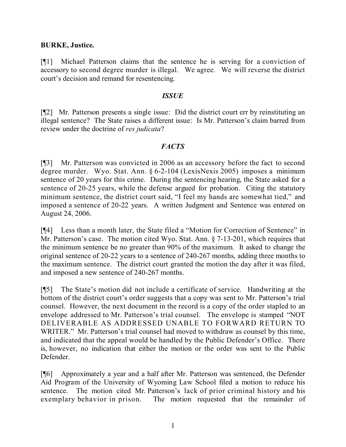## **BURKE, Justice.**

[¶1] Michael Patterson claims that the sentence he is serving for a conviction of accessory to second degree murder is illegal. We agree. We will reverse the district court's decision and remand for resentencing.

#### *ISSUE*

[¶2] Mr. Patterson presents a single issue: Did the district court err by reinstituting an illegal sentence? The State raises a different issue: Is Mr. Patterson's claim barred from review under the doctrine of *res judicata*?

## *FACTS*

[¶3] Mr. Patterson was convicted in 2006 as an accessory before the fact to second degree murder. Wyo. Stat. Ann. § 6-2-104 (LexisNexis 2005) imposes a minimum sentence of 20 years for this crime. During the sentencing hearing, the State asked for a sentence of 20-25 years, while the defense argued for probation. Citing the statutory minimum sentence, the district court said, "I feel my hands are somewhat tied," and imposed a sentence of 20-22 years. A written Judgment and Sentence was entered on August 24, 2006.

[¶4] Less than a month later, the State filed a "Motion for Correction of Sentence" in Mr. Patterson's case. The motion cited Wyo. Stat. Ann. § 7-13-201, which requires that the minimum sentence be no greater than 90% of the maximum. It asked to change the original sentence of 20-22 years to a sentence of 240-267 months, adding three months to the maximum sentence. The district court granted the motion the day after it was filed, and imposed a new sentence of 240-267 months.

[¶5] The State's motion did not include a certificate of service. Handwriting at the bottom of the district court's order suggests that a copy was sent to Mr. Patterson's trial counsel. However, the next document in the record is a copy of the order stapled to an envelope addressed to Mr. Patterson's trial counsel. The envelope is stamped "NOT DELIVERABLE AS ADDRESSED UNABLE TO FORWARD RETURN TO WRITER." Mr. Patterson's trial counsel had moved to withdraw as counsel by this time, and indicated that the appeal would be handled by the Public Defender's Office. There is, however, no indication that either the motion or the order was sent to the Public Defender.

[¶6] Approximately a year and a half after Mr. Patterson was sentenced, the Defender Aid Program of the University of Wyoming Law School filed a motion to reduce his sentence. The motion cited Mr. Patterson's lack of prior criminal history and his exemplary behavior in prison. The motion requested that the remainder of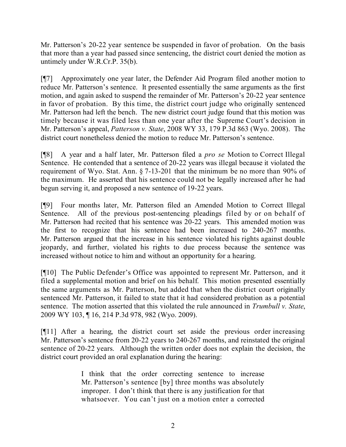Mr. Patterson's 20-22 year sentence be suspended in favor of probation. On the basis that more than a year had passed since sentencing, the district court denied the motion as untimely under W.R.Cr.P. 35(b).

[¶7] Approximately one year later, the Defender Aid Program filed another motion to reduce Mr. Patterson's sentence. It presented essentially the same arguments as the first motion, and again asked to suspend the remainder of Mr. Patterson's 20-22 year sentence in favor of probation. By this time, the district court judge who originally sentenced Mr. Patterson had left the bench. The new district court judge found that this motion was timely because it was filed less than one year after the Supreme Court's decision in Mr. Patterson's appeal, *Patterson v. State*, 2008 WY 33, 179 P.3d 863 (Wyo. 2008). The district court nonetheless denied the motion to reduce Mr. Patterson's sentence.

[¶8] A year and a half later, Mr. Patterson filed a *pro se* Motion to Correct Illegal Sentence. He contended that a sentence of 20-22 years was illegal because it violated the requirement of Wyo. Stat. Ann. § 7-13-201 that the minimum be no more than 90% of the maximum. He asserted that his sentence could not be legally increased after he had begun serving it, and proposed a new sentence of 19-22 years.

[¶9] Four months later, Mr. Patterson filed an Amended Motion to Correct Illegal Sentence. All of the previous post-sentencing pleadings filed by or on behalf of Mr. Patterson had recited that his sentence was 20-22 years. This amended motion was the first to recognize that his sentence had been increased to 240-267 months. Mr. Patterson argued that the increase in his sentence violated his rights against double jeopardy, and further, violated his rights to due process because the sentence was increased without notice to him and without an opportunity for a hearing.

[¶10] The Public Defender's Office was appointed to represent Mr. Patterson, and it filed a supplemental motion and brief on his behalf. This motion presented essentially the same arguments as Mr. Patterson, but added that when the district court originally sentenced Mr. Patterson, it failed to state that it had considered probation as a potential sentence. The motion asserted that this violated the rule announced in *Trumbull v. State*, 2009 WY 103, ¶ 16, 214 P.3d 978, 982 (Wyo. 2009).

[¶11] After a hearing, the district court set aside the previous order increasing Mr. Patterson's sentence from 20-22 years to 240-267 months, and reinstated the original sentence of 20-22 years. Although the written order does not explain the decision, the district court provided an oral explanation during the hearing:

> I think that the order correcting sentence to increase Mr. Patterson's sentence [by] three months was absolutely improper. I don't think that there is any justification for that whatsoever. You can't just on a motion enter a corrected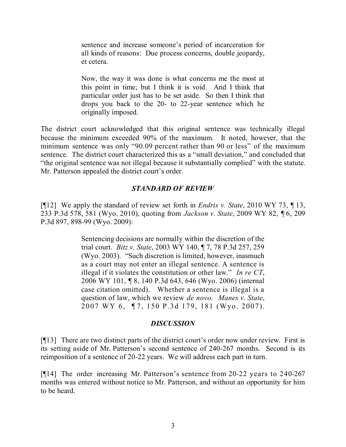sentence and increase someone's period of incarceration for all kinds of reasons: Due process concerns, double jeopardy, et cetera.

Now, the way it was done is what concerns me the most at this point in time; but I think it is void. And I think that particular order just has to be set aside. So then I think that drops you back to the 20- to 22-year sentence which he originally imposed.

The district court acknowledged that this original sentence was technically illegal because the minimum exceeded 90% of the maximum. It noted, however, that the minimum sentence was only "90.09 percent rather than 90 or less" of the maximum sentence. The district court characterized this as a "small deviation," and concluded that "the original sentence was not illegal because it substantially complied" with the statute. Mr. Patterson appealed the district court's order.

# *STANDARD OF REVIEW*

[¶12] We apply the standard of review set forth in *Endris v. State*, 2010 WY 73, ¶ 13, 233 P.3d 578, 581 (Wyo. 2010), quoting from *Jackson v. State*, 2009 WY 82, ¶ 6, 209 P.3d 897, 898-99 (Wyo. 2009):

> Sentencing decisions are normally within the discretion of the trial court. *Bitz v. State*, 2003 WY 140, ¶ 7, 78 P.3d 257, 259 (Wyo. 2003). "Such discretion is limited, however, inasmuch as a court may not enter an illegal sentence. A sentence is illegal if it violates the constitution or other law." *In re CT*, 2006 WY 101, ¶ 8, 140 P.3d 643, 646 (Wyo. 2006) (internal case citation omitted). Whether a sentence is illegal is a question of law, which we review *de novo*. *Manes v. State*, 2007 WY 6, ¶ 7, 150 P.3d 179, 181 (Wyo. 2007).

#### *DISCUSSION*

[¶13] There are two distinct parts of the district court's order now under review. First is its setting aside of Mr. Patterson's second sentence of 240-267 months. Second is its reimposition of a sentence of 20-22 years. We will address each part in turn.

[¶14] The order increasing Mr. Patterson's sentence from 20-22 years to 240-267 months was entered without notice to Mr. Patterson, and without an opportunity for him to be heard.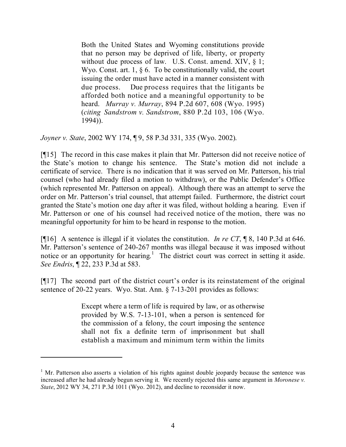Both the United States and Wyoming constitutions provide that no person may be deprived of life, liberty, or property without due process of law. U.S. Const. amend. XIV,  $\S$  1; Wyo. Const. art. 1,  $\S 6$ . To be constitutionally valid, the court issuing the order must have acted in a manner consistent with due process. Due process requires that the litigants be afforded both notice and a meaningful opportunity to be heard. *Murray v. Murray*, 894 P.2d 607, 608 (Wyo. 1995) (*citing Sandstrom v. Sandstrom*, 880 P.2d 103, 106 (Wyo. 1994)).

*Joyner v. State*, 2002 WY 174, ¶ 9, 58 P.3d 331, 335 (Wyo. 2002).

[¶15] The record in this case makes it plain that Mr. Patterson did not receive notice of the State's motion to change his sentence. The State's motion did not include a certificate of service. There is no indication that it was served on Mr. Patterson, his trial counsel (who had already filed a motion to withdraw), or the Public Defender's Office (which represented Mr. Patterson on appeal). Although there was an attempt to serve the order on Mr. Patterson's trial counsel, that attempt failed. Furthermore, the district court granted the State's motion one day after it was filed, without holding a hearing. Even if Mr. Patterson or one of his counsel had received notice of the motion, there was no meaningful opportunity for him to be heard in response to the motion.

[¶16] A sentence is illegal if it violates the constitution. *In re CT*, ¶ 8, 140 P.3d at 646. Mr. Patterson's sentence of 240-267 months was illegal because it was imposed without notice or an opportunity for hearing.<sup>1</sup> The district court was correct in setting it aside. *See Endris*, ¶ 22, 233 P.3d at 583.

[¶17] The second part of the district court's order is its reinstatement of the original sentence of 20-22 years. Wyo. Stat. Ann. § 7-13-201 provides as follows:

> Except where a term of life is required by law, or as otherwise provided by W.S. 7-13-101, when a person is sentenced for the commission of a felony, the court imposing the sentence shall not fix a definite term of imprisonment but shall establish a maximum and minimum term within the limits

 $1$  Mr. Patterson also asserts a violation of his rights against double jeopardy because the sentence was increased after he had already begun serving it. We recently rejected this same argument in *Moronese v. State*, 2012 WY 34, 271 P.3d 1011 (Wyo. 2012), and decline to reconsider it now.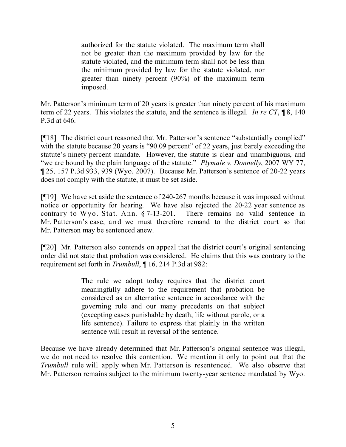authorized for the statute violated. The maximum term shall not be greater than the maximum provided by law for the statute violated, and the minimum term shall not be less than the minimum provided by law for the statute violated, nor greater than ninety percent (90%) of the maximum term imposed.

Mr. Patterson's minimum term of 20 years is greater than ninety percent of his maximum term of 22 years. This violates the statute, and the sentence is illegal. *In re CT*, ¶ 8, 140 P.3d at 646.

[¶18] The district court reasoned that Mr. Patterson's sentence "substantially complied" with the statute because 20 years is "90.09 percent" of 22 years, just barely exceeding the statute's ninety percent mandate. However, the statute is clear and unambiguous, and "we are bound by the plain language of the statute." *Plymale v. Donnelly*, 2007 WY 77, ¶ 25, 157 P.3d 933, 939 (Wyo. 2007). Because Mr. Patterson's sentence of 20-22 years does not comply with the statute, it must be set aside.

[¶19] We have set aside the sentence of 240-267 months because it was imposed without notice or opportunity for hearing. We have also rejected the 20-22 year sentence as contrary to Wyo. Stat. Ann. § 7-13-201. There remains no valid sentence in Mr. Patterson's case, and we must therefore remand to the district court so that Mr. Patterson may be sentenced anew.

[¶20] Mr. Patterson also contends on appeal that the district court's original sentencing order did not state that probation was considered. He claims that this was contrary to the requirement set forth in *Trumbull*, ¶ 16, 214 P.3d at 982:

> The rule we adopt today requires that the district court meaningfully adhere to the requirement that probation be considered as an alternative sentence in accordance with the governing rule and our many precedents on that subject (excepting cases punishable by death, life without parole, or a life sentence). Failure to express that plainly in the written sentence will result in reversal of the sentence.

Because we have already determined that Mr. Patterson's original sentence was illegal, we do not need to resolve this contention. We mention it only to point out that the *Trumbull* rule will apply when Mr. Patterson is resentenced. We also observe that Mr. Patterson remains subject to the minimum twenty-year sentence mandated by Wyo.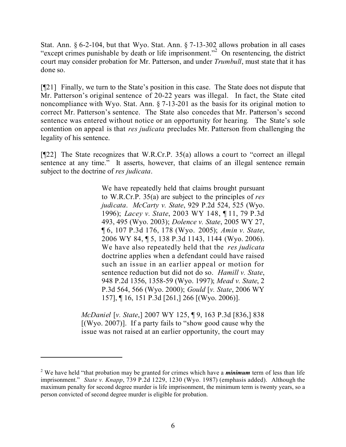Stat. Ann. § 6-2-104, but that Wyo. Stat. Ann. § 7-13-302 allows probation in all cases "except crimes punishable by death or life imprisonment."<sup>2</sup> On resentencing, the district court may consider probation for Mr. Patterson, and under *Trumbull*, must state that it has done so.

[¶21] Finally, we turn to the State's position in this case. The State does not dispute that Mr. Patterson's original sentence of 20-22 years was illegal. In fact, the State cited noncompliance with Wyo. Stat. Ann. § 7-13-201 as the basis for its original motion to correct Mr. Patterson's sentence. The State also concedes that Mr. Patterson's second sentence was entered without notice or an opportunity for hearing. The State's sole contention on appeal is that *res judicata* precludes Mr. Patterson from challenging the legality of his sentence.

[¶22] The State recognizes that W.R.Cr.P. 35(a) allows a court to "correct an illegal sentence at any time." It asserts, however, that claims of an illegal sentence remain subject to the doctrine of *res judicata*.

> We have repeatedly held that claims brought pursuant to W.R.Cr.P. 35(a) are subject to the principles of *res judicata*. *McCarty v. State*, 929 P.2d 524, 525 (Wyo. 1996); *Lacey v. State*, 2003 WY 148, ¶ 11, 79 P.3d 493, 495 (Wyo. 2003); *Dolence v. State*, 2005 WY 27, ¶ 6, 107 P.3d 176, 178 (Wyo. 2005); *Amin v. State*, 2006 WY 84, ¶ 5, 138 P.3d 1143, 1144 (Wyo. 2006). We have also repeatedly held that the *res judicata* doctrine applies when a defendant could have raised such an issue in an earlier appeal or motion for sentence reduction but did not do so. *Hamill v. State*, 948 P.2d 1356, 1358-59 (Wyo. 1997); *Mead v. State*, 2 P.3d 564, 566 (Wyo. 2000); *Gould* [*v. State*, 2006 WY 157], ¶ 16, 151 P.3d [261,] 266 [(Wyo. 2006)].

*McDaniel* [*v. State*,] 2007 WY 125, ¶ 9, 163 P.3d [836,] 838  $[(Wvo, 2007)]$ . If a party fails to "show good cause why the issue was not raised at an earlier opportunity, the court may

<sup>2</sup> We have held "that probation may be granted for crimes which have a *minimum* term of less than life imprisonment." *State v. Knapp*, 739 P.2d 1229, 1230 (Wyo. 1987) (emphasis added). Although the maximum penalty for second degree murder is life imprisonment, the minimum term is twenty years, so a person convicted of second degree murder is eligible for probation.